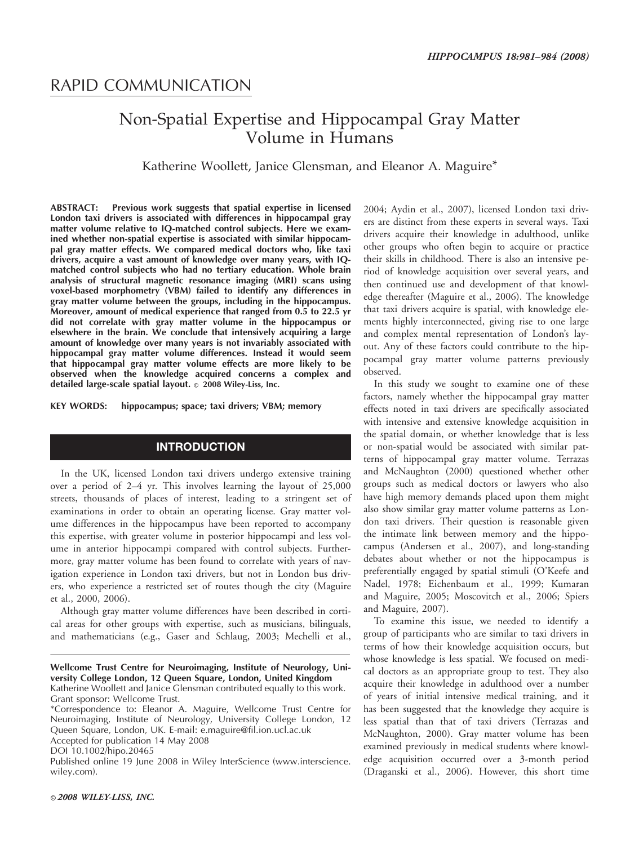# RAPID COMMUNICATION

# Non-Spatial Expertise and Hippocampal Gray Matter Volume in Humans

### Katherine Woollett, Janice Glensman, and Eleanor A. Maguire\*

ABSTRACT: Previous work suggests that spatial expertise in licensed London taxi drivers is associated with differences in hippocampal gray matter volume relative to IQ-matched control subjects. Here we examined whether non-spatial expertise is associated with similar hippocampal gray matter effects. We compared medical doctors who, like taxi drivers, acquire a vast amount of knowledge over many years, with IQmatched control subjects who had no tertiary education. Whole brain analysis of structural magnetic resonance imaging (MRI) scans using voxel-based morphometry (VBM) failed to identify any differences in gray matter volume between the groups, including in the hippocampus. Moreover, amount of medical experience that ranged from 0.5 to 22.5 yr did not correlate with gray matter volume in the hippocampus or elsewhere in the brain. We conclude that intensively acquiring a large amount of knowledge over many years is not invariably associated with hippocampal gray matter volume differences. Instead it would seem that hippocampal gray matter volume effects are more likely to be observed when the knowledge acquired concerns a complex and detailed large-scale spatial layout.  $\circ$  2008 Wiley-Liss, Inc.

KEY WORDS: hippocampus; space; taxi drivers; VBM; memory

## **INTRODUCTION**

In the UK, licensed London taxi drivers undergo extensive training over a period of 2–4 yr. This involves learning the layout of 25,000 streets, thousands of places of interest, leading to a stringent set of examinations in order to obtain an operating license. Gray matter volume differences in the hippocampus have been reported to accompany this expertise, with greater volume in posterior hippocampi and less volume in anterior hippocampi compared with control subjects. Furthermore, gray matter volume has been found to correlate with years of navigation experience in London taxi drivers, but not in London bus drivers, who experience a restricted set of routes though the city (Maguire et al., 2000, 2006).

Although gray matter volume differences have been described in cortical areas for other groups with expertise, such as musicians, bilinguals, and mathematicians (e.g., Gaser and Schlaug, 2003; Mechelli et al.,

DOI 10.1002/hipo.20465

Published online 19 June 2008 in Wiley InterScience (www.interscience. wiley.com).

2004; Aydin et al., 2007), licensed London taxi drivers are distinct from these experts in several ways. Taxi drivers acquire their knowledge in adulthood, unlike other groups who often begin to acquire or practice their skills in childhood. There is also an intensive period of knowledge acquisition over several years, and then continued use and development of that knowledge thereafter (Maguire et al., 2006). The knowledge that taxi drivers acquire is spatial, with knowledge elements highly interconnected, giving rise to one large and complex mental representation of London's layout. Any of these factors could contribute to the hippocampal gray matter volume patterns previously observed.

In this study we sought to examine one of these factors, namely whether the hippocampal gray matter effects noted in taxi drivers are specifically associated with intensive and extensive knowledge acquisition in the spatial domain, or whether knowledge that is less or non-spatial would be associated with similar patterns of hippocampal gray matter volume. Terrazas and McNaughton (2000) questioned whether other groups such as medical doctors or lawyers who also have high memory demands placed upon them might also show similar gray matter volume patterns as London taxi drivers. Their question is reasonable given the intimate link between memory and the hippocampus (Andersen et al., 2007), and long-standing debates about whether or not the hippocampus is preferentially engaged by spatial stimuli (O'Keefe and Nadel, 1978; Eichenbaum et al., 1999; Kumaran and Maguire, 2005; Moscovitch et al., 2006; Spiers and Maguire, 2007).

To examine this issue, we needed to identify a group of participants who are similar to taxi drivers in terms of how their knowledge acquisition occurs, but whose knowledge is less spatial. We focused on medical doctors as an appropriate group to test. They also acquire their knowledge in adulthood over a number of years of initial intensive medical training, and it has been suggested that the knowledge they acquire is less spatial than that of taxi drivers (Terrazas and McNaughton, 2000). Gray matter volume has been examined previously in medical students where knowledge acquisition occurred over a 3-month period (Draganski et al., 2006). However, this short time

Wellcome Trust Centre for Neuroimaging, Institute of Neurology, University College London, 12 Queen Square, London, United Kingdom Katherine Woollett and Janice Glensman contributed equally to this work. Grant sponsor: Wellcome Trust.

<sup>\*</sup>Correspondence to: Eleanor A. Maguire, Wellcome Trust Centre for Neuroimaging, Institute of Neurology, University College London, 12 Queen Square, London, UK. E-mail: e.maguire@fil.ion.ucl.ac.uk Accepted for publication 14 May 2008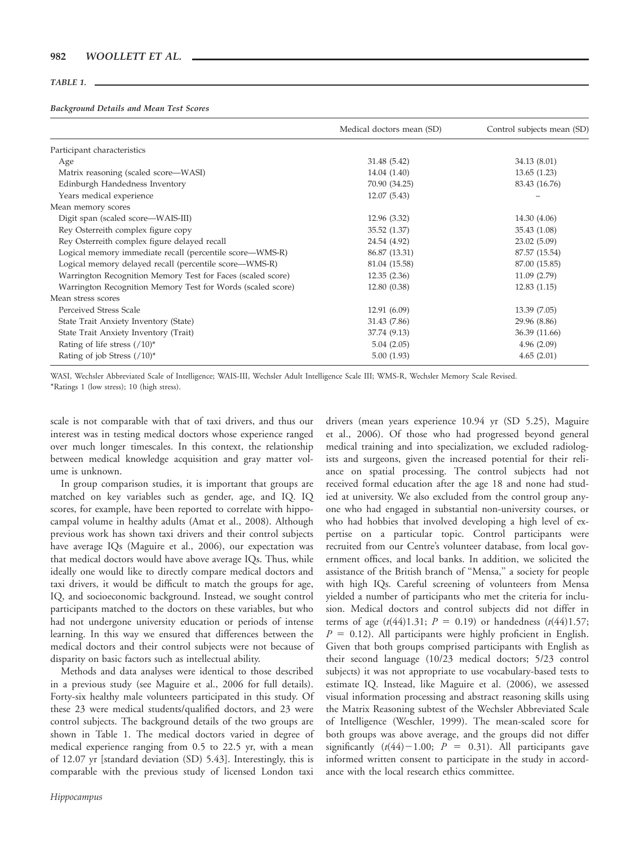#### TABLE 1.

#### Background Details and Mean Test Scores

|                                                             | Medical doctors mean (SD) | Control subjects mean (SD) |
|-------------------------------------------------------------|---------------------------|----------------------------|
| Participant characteristics                                 |                           |                            |
| Age                                                         | 31.48 (5.42)              | 34.13 (8.01)               |
| Matrix reasoning (scaled score—WASI)                        | 14.04 (1.40)              | 13.65(1.23)                |
| Edinburgh Handedness Inventory                              | 70.90 (34.25)             | 83.43 (16.76)              |
| Years medical experience                                    | 12.07(5.43)               |                            |
| Mean memory scores                                          |                           |                            |
| Digit span (scaled score-WAIS-III)                          | 12.96 (3.32)              | 14.30 (4.06)               |
| Rey Osterreith complex figure copy                          | 35.52 (1.37)              | 35.43 (1.08)               |
| Rey Osterreith complex figure delayed recall                | 24.54 (4.92)              | 23.02(5.09)                |
| Logical memory immediate recall (percentile score—WMS-R)    | 86.87 (13.31)             | 87.57 (15.54)              |
| Logical memory delayed recall (percentile score—WMS-R)      | 81.04 (15.58)             | 87.00 (15.85)              |
| Warrington Recognition Memory Test for Faces (scaled score) | 12.35(2.36)               | 11.09(2.79)                |
| Warrington Recognition Memory Test for Words (scaled score) | 12.80(0.38)               | 12.83(1.15)                |
| Mean stress scores                                          |                           |                            |
| Perceived Stress Scale                                      | 12.91 (6.09)              | 13.39 (7.05)               |
| State Trait Anxiety Inventory (State)                       | 31.43 (7.86)              | 29.96 (8.86)               |
| State Trait Anxiety Inventory (Trait)                       | 37.74 (9.13)              | 36.39 (11.66)              |
| Rating of life stress $(710)^*$                             | 5.04(2.05)                | 4.96(2.09)                 |
| Rating of job Stress $(710)^*$                              | 5.00(1.93)                | 4.65(2.01)                 |

WASI, Wechsler Abbreviated Scale of Intelligence; WAIS-III, Wechsler Adult Intelligence Scale III; WMS-R, Wechsler Memory Scale Revised. \*Ratings 1 (low stress); 10 (high stress).

scale is not comparable with that of taxi drivers, and thus our interest was in testing medical doctors whose experience ranged over much longer timescales. In this context, the relationship between medical knowledge acquisition and gray matter volume is unknown.

In group comparison studies, it is important that groups are matched on key variables such as gender, age, and IQ. IQ scores, for example, have been reported to correlate with hippocampal volume in healthy adults (Amat et al., 2008). Although previous work has shown taxi drivers and their control subjects have average IQs (Maguire et al., 2006), our expectation was that medical doctors would have above average IQs. Thus, while ideally one would like to directly compare medical doctors and taxi drivers, it would be difficult to match the groups for age, IQ, and socioeconomic background. Instead, we sought control participants matched to the doctors on these variables, but who had not undergone university education or periods of intense learning. In this way we ensured that differences between the medical doctors and their control subjects were not because of disparity on basic factors such as intellectual ability.

Methods and data analyses were identical to those described in a previous study (see Maguire et al., 2006 for full details). Forty-six healthy male volunteers participated in this study. Of these 23 were medical students/qualified doctors, and 23 were control subjects. The background details of the two groups are shown in Table 1. The medical doctors varied in degree of medical experience ranging from 0.5 to 22.5 yr, with a mean of 12.07 yr [standard deviation (SD) 5.43]. Interestingly, this is comparable with the previous study of licensed London taxi

Hippocampus

drivers (mean years experience 10.94 yr (SD 5.25), Maguire et al., 2006). Of those who had progressed beyond general medical training and into specialization, we excluded radiologists and surgeons, given the increased potential for their reliance on spatial processing. The control subjects had not received formal education after the age 18 and none had studied at university. We also excluded from the control group anyone who had engaged in substantial non-university courses, or who had hobbies that involved developing a high level of expertise on a particular topic. Control participants were recruited from our Centre's volunteer database, from local government offices, and local banks. In addition, we solicited the assistance of the British branch of ''Mensa,'' a society for people with high IQs. Careful screening of volunteers from Mensa yielded a number of participants who met the criteria for inclusion. Medical doctors and control subjects did not differ in terms of age  $(t(44)1.31; P = 0.19)$  or handedness  $(t(44)1.57;$  $P = 0.12$ ). All participants were highly proficient in English. Given that both groups comprised participants with English as their second language (10/23 medical doctors; 5/23 control subjects) it was not appropriate to use vocabulary-based tests to estimate IQ. Instead, like Maguire et al. (2006), we assessed visual information processing and abstract reasoning skills using the Matrix Reasoning subtest of the Wechsler Abbreviated Scale of Intelligence (Weschler, 1999). The mean-scaled score for both groups was above average, and the groups did not differ significantly  $(t(44)-1.00; P = 0.31)$ . All participants gave informed written consent to participate in the study in accordance with the local research ethics committee.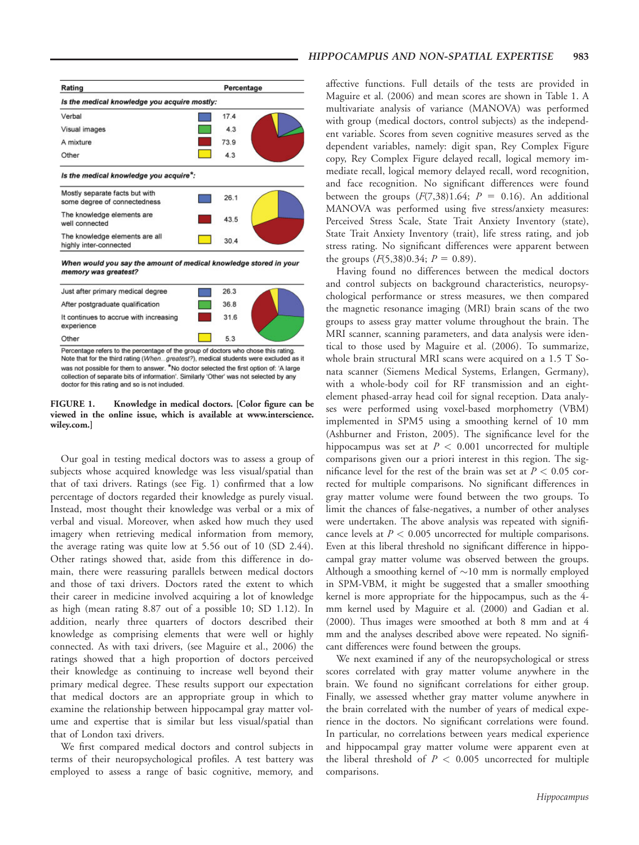

When would you say the amount of medical knowledge stored in your memory was greatest?



Percentage refers to the percentage of the group of doctors who chose this rating. Note that for the third rating (When...greatest?), medical students were excluded as it was not possible for them to answer. \*No doctor selected the first option of: 'A large collection of separate bits of information'. Similarly 'Other' was not selected by any doctor for this rating and so is not included.

FIGURE 1. Knowledge in medical doctors. [Color figure can be viewed in the online issue, which is available at www.interscience. wiley.com.]

Our goal in testing medical doctors was to assess a group of subjects whose acquired knowledge was less visual/spatial than that of taxi drivers. Ratings (see Fig. 1) confirmed that a low percentage of doctors regarded their knowledge as purely visual. Instead, most thought their knowledge was verbal or a mix of verbal and visual. Moreover, when asked how much they used imagery when retrieving medical information from memory, the average rating was quite low at 5.56 out of 10 (SD 2.44). Other ratings showed that, aside from this difference in domain, there were reassuring parallels between medical doctors and those of taxi drivers. Doctors rated the extent to which their career in medicine involved acquiring a lot of knowledge as high (mean rating 8.87 out of a possible 10; SD 1.12). In addition, nearly three quarters of doctors described their knowledge as comprising elements that were well or highly connected. As with taxi drivers, (see Maguire et al., 2006) the ratings showed that a high proportion of doctors perceived their knowledge as continuing to increase well beyond their primary medical degree. These results support our expectation that medical doctors are an appropriate group in which to examine the relationship between hippocampal gray matter volume and expertise that is similar but less visual/spatial than that of London taxi drivers.

We first compared medical doctors and control subjects in terms of their neuropsychological profiles. A test battery was employed to assess a range of basic cognitive, memory, and affective functions. Full details of the tests are provided in Maguire et al. (2006) and mean scores are shown in Table 1. A multivariate analysis of variance (MANOVA) was performed with group (medical doctors, control subjects) as the independent variable. Scores from seven cognitive measures served as the dependent variables, namely: digit span, Rey Complex Figure copy, Rey Complex Figure delayed recall, logical memory immediate recall, logical memory delayed recall, word recognition, and face recognition. No significant differences were found between the groups  $(F(7,38)1.64; P = 0.16)$ . An additional MANOVA was performed using five stress/anxiety measures: Perceived Stress Scale, State Trait Anxiety Inventory (state), State Trait Anxiety Inventory (trait), life stress rating, and job stress rating. No significant differences were apparent between the groups  $(F(5,38)0.34; P = 0.89)$ .

Having found no differences between the medical doctors and control subjects on background characteristics, neuropsychological performance or stress measures, we then compared the magnetic resonance imaging (MRI) brain scans of the two groups to assess gray matter volume throughout the brain. The MRI scanner, scanning parameters, and data analysis were identical to those used by Maguire et al. (2006). To summarize, whole brain structural MRI scans were acquired on a 1.5 T Sonata scanner (Siemens Medical Systems, Erlangen, Germany), with a whole-body coil for RF transmission and an eightelement phased-array head coil for signal reception. Data analyses were performed using voxel-based morphometry (VBM) implemented in SPM5 using a smoothing kernel of 10 mm (Ashburner and Friston, 2005). The significance level for the hippocampus was set at  $P < 0.001$  uncorrected for multiple comparisons given our a priori interest in this region. The significance level for the rest of the brain was set at  $P < 0.05$  corrected for multiple comparisons. No significant differences in gray matter volume were found between the two groups. To limit the chances of false-negatives, a number of other analyses were undertaken. The above analysis was repeated with significance levels at  $P < 0.005$  uncorrected for multiple comparisons. Even at this liberal threshold no significant difference in hippocampal gray matter volume was observed between the groups. Although a smoothing kernel of  $\sim$ 10 mm is normally employed in SPM-VBM, it might be suggested that a smaller smoothing kernel is more appropriate for the hippocampus, such as the 4 mm kernel used by Maguire et al. (2000) and Gadian et al. (2000). Thus images were smoothed at both 8 mm and at 4 mm and the analyses described above were repeated. No significant differences were found between the groups.

We next examined if any of the neuropsychological or stress scores correlated with gray matter volume anywhere in the brain. We found no significant correlations for either group. Finally, we assessed whether gray matter volume anywhere in the brain correlated with the number of years of medical experience in the doctors. No significant correlations were found. In particular, no correlations between years medical experience and hippocampal gray matter volume were apparent even at the liberal threshold of  $P < 0.005$  uncorrected for multiple comparisons.